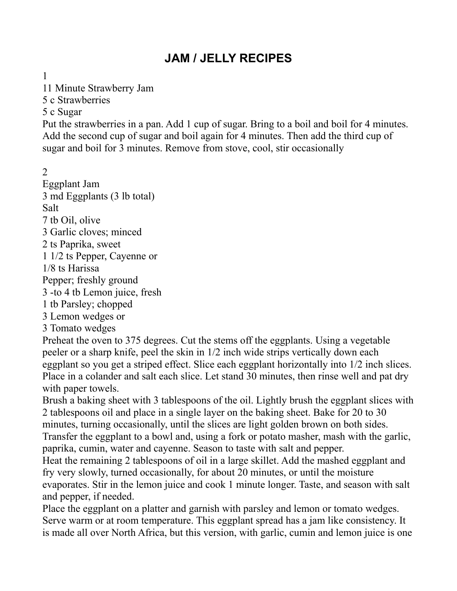# **JAM / JELLY RECIPES**

1

11 Minute Strawberry Jam

5 c Strawberries

#### 5 c Sugar

Put the strawberries in a pan. Add 1 cup of sugar. Bring to a boil and boil for 4 minutes. Add the second cup of sugar and boil again for 4 minutes. Then add the third cup of sugar and boil for 3 minutes. Remove from stove, cool, stir occasionally

2

Eggplant Jam 3 md Eggplants (3 lb total) Salt 7 tb Oil, olive 3 Garlic cloves; minced 2 ts Paprika, sweet 1 1/2 ts Pepper, Cayenne or 1/8 ts Harissa Pepper; freshly ground 3 -to 4 tb Lemon juice, fresh 1 tb Parsley; chopped 3 Lemon wedges or 3 Tomato wedges

Preheat the oven to 375 degrees. Cut the stems off the eggplants. Using a vegetable peeler or a sharp knife, peel the skin in 1/2 inch wide strips vertically down each eggplant so you get a striped effect. Slice each eggplant horizontally into 1/2 inch slices. Place in a colander and salt each slice. Let stand 30 minutes, then rinse well and pat dry with paper towels.

Brush a baking sheet with 3 tablespoons of the oil. Lightly brush the eggplant slices with 2 tablespoons oil and place in a single layer on the baking sheet. Bake for 20 to 30 minutes, turning occasionally, until the slices are light golden brown on both sides. Transfer the eggplant to a bowl and, using a fork or potato masher, mash with the garlic, paprika, cumin, water and cayenne. Season to taste with salt and pepper.

Heat the remaining 2 tablespoons of oil in a large skillet. Add the mashed eggplant and fry very slowly, turned occasionally, for about 20 minutes, or until the moisture evaporates. Stir in the lemon juice and cook 1 minute longer. Taste, and season with salt and pepper, if needed.

Place the eggplant on a platter and garnish with parsley and lemon or tomato wedges. Serve warm or at room temperature. This eggplant spread has a jam like consistency. It is made all over North Africa, but this version, with garlic, cumin and lemon juice is one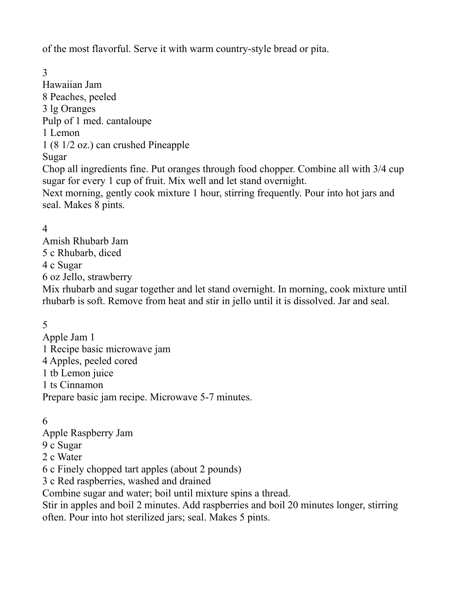of the most flavorful. Serve it with warm country-style bread or pita.

3 Hawaiian Jam 8 Peaches, peeled 3 lg Oranges Pulp of 1 med. cantaloupe 1 Lemon 1 (8 1/2 oz.) can crushed Pineapple Sugar Chop all ingredients fine. Put oranges through food chopper. Combine all with 3/4 cup sugar for every 1 cup of fruit. Mix well and let stand overnight. Next morning, gently cook mixture 1 hour, stirring frequently. Pour into hot jars and

#### 4

seal. Makes 8 pints.

Amish Rhubarb Jam 5 c Rhubarb, diced 4 c Sugar 6 oz Jello, strawberry

Mix rhubarb and sugar together and let stand overnight. In morning, cook mixture until rhubarb is soft. Remove from heat and stir in jello until it is dissolved. Jar and seal.

#### 5

Apple Jam 1 1 Recipe basic microwave jam 4 Apples, peeled cored 1 tb Lemon juice 1 ts Cinnamon Prepare basic jam recipe. Microwave 5-7 minutes.

#### 6

Apple Raspberry Jam

- 9 c Sugar
- 2 c Water

6 c Finely chopped tart apples (about 2 pounds)

3 c Red raspberries, washed and drained

Combine sugar and water; boil until mixture spins a thread.

Stir in apples and boil 2 minutes. Add raspberries and boil 20 minutes longer, stirring often. Pour into hot sterilized jars; seal. Makes 5 pints.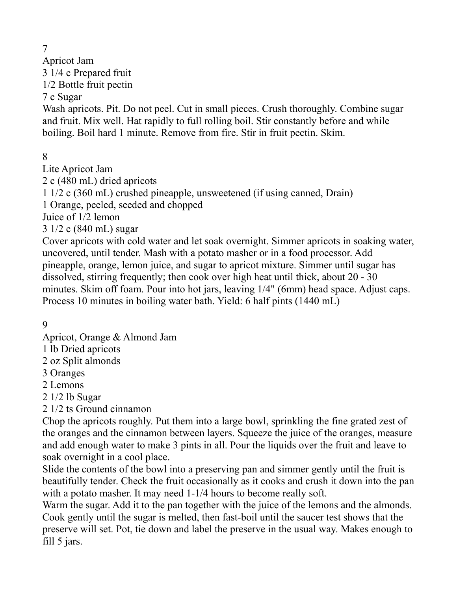7

Apricot Jam 3 1/4 c Prepared fruit 1/2 Bottle fruit pectin

7 c Sugar

Wash apricots. Pit. Do not peel. Cut in small pieces. Crush thoroughly. Combine sugar and fruit. Mix well. Hat rapidly to full rolling boil. Stir constantly before and while boiling. Boil hard 1 minute. Remove from fire. Stir in fruit pectin. Skim.

8

Lite Apricot Jam

2 c (480 mL) dried apricots

1 1/2 c (360 mL) crushed pineapple, unsweetened (if using canned, Drain)

1 Orange, peeled, seeded and chopped

Juice of 1/2 lemon

3 1/2 c (840 mL) sugar

Cover apricots with cold water and let soak overnight. Simmer apricots in soaking water, uncovered, until tender. Mash with a potato masher or in a food processor. Add pineapple, orange, lemon juice, and sugar to apricot mixture. Simmer until sugar has dissolved, stirring frequently; then cook over high heat until thick, about 20 - 30 minutes. Skim off foam. Pour into hot jars, leaving 1/4" (6mm) head space. Adjust caps. Process 10 minutes in boiling water bath. Yield: 6 half pints (1440 mL)

9

Apricot, Orange & Almond Jam

1 lb Dried apricots

2 oz Split almonds

3 Oranges

2 Lemons

2 1/2 lb Sugar

2 1/2 ts Ground cinnamon

Chop the apricots roughly. Put them into a large bowl, sprinkling the fine grated zest of the oranges and the cinnamon between layers. Squeeze the juice of the oranges, measure and add enough water to make 3 pints in all. Pour the liquids over the fruit and leave to soak overnight in a cool place.

Slide the contents of the bowl into a preserving pan and simmer gently until the fruit is beautifully tender. Check the fruit occasionally as it cooks and crush it down into the pan with a potato masher. It may need 1-1/4 hours to become really soft.

Warm the sugar. Add it to the pan together with the juice of the lemons and the almonds. Cook gently until the sugar is melted, then fast-boil until the saucer test shows that the preserve will set. Pot, tie down and label the preserve in the usual way. Makes enough to fill 5 jars.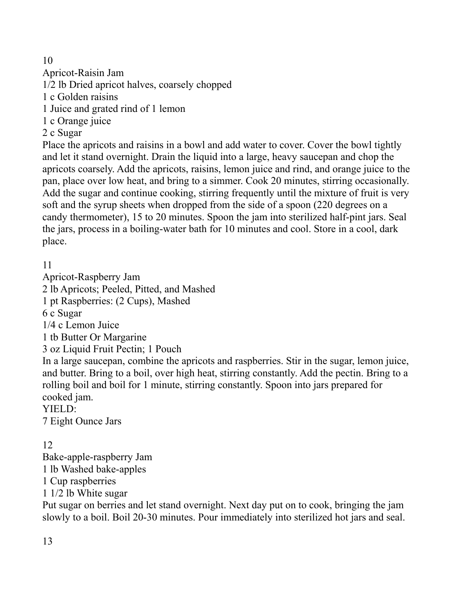# 10

Apricot-Raisin Jam

1/2 lb Dried apricot halves, coarsely chopped

1 c Golden raisins

1 Juice and grated rind of 1 lemon

1 c Orange juice

2 c Sugar

Place the apricots and raisins in a bowl and add water to cover. Cover the bowl tightly and let it stand overnight. Drain the liquid into a large, heavy saucepan and chop the apricots coarsely. Add the apricots, raisins, lemon juice and rind, and orange juice to the pan, place over low heat, and bring to a simmer. Cook 20 minutes, stirring occasionally. Add the sugar and continue cooking, stirring frequently until the mixture of fruit is very soft and the syrup sheets when dropped from the side of a spoon (220 degrees on a candy thermometer), 15 to 20 minutes. Spoon the jam into sterilized half-pint jars. Seal the jars, process in a boiling-water bath for 10 minutes and cool. Store in a cool, dark place.

11

Apricot-Raspberry Jam 2 lb Apricots; Peeled, Pitted, and Mashed 1 pt Raspberries: (2 Cups), Mashed 6 c Sugar 1/4 c Lemon Juice 1 tb Butter Or Margarine 3 oz Liquid Fruit Pectin; 1 Pouch In a large saucepan, combine the apricots and raspberries. Stir in the sugar, lemon juice, and butter. Bring to a boil, over high heat, stirring constantly. Add the pectin. Bring to a rolling boil and boil for 1 minute, stirring constantly. Spoon into jars prepared for cooked jam. YIELD:

7 Eight Ounce Jars

# 12

Bake-apple-raspberry Jam 1 lb Washed bake-apples 1 Cup raspberries 1 1/2 lb White sugar

Put sugar on berries and let stand overnight. Next day put on to cook, bringing the jam slowly to a boil. Boil 20-30 minutes. Pour immediately into sterilized hot jars and seal.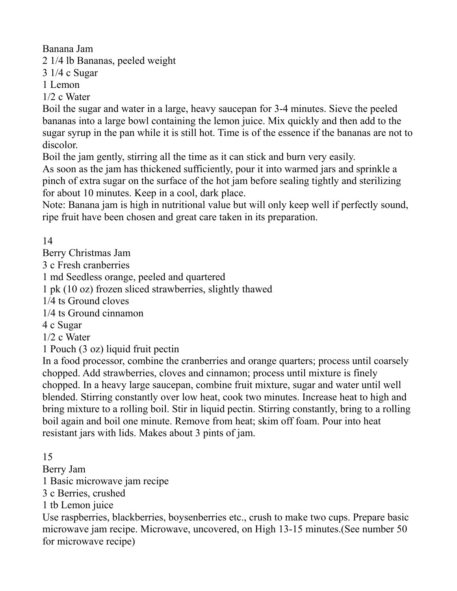Banana Jam

2 1/4 lb Bananas, peeled weight

3 1/4 c Sugar

1 Lemon

1/2 c Water

Boil the sugar and water in a large, heavy saucepan for 3-4 minutes. Sieve the peeled bananas into a large bowl containing the lemon juice. Mix quickly and then add to the sugar syrup in the pan while it is still hot. Time is of the essence if the bananas are not to discolor.

Boil the jam gently, stirring all the time as it can stick and burn very easily.

As soon as the jam has thickened sufficiently, pour it into warmed jars and sprinkle a pinch of extra sugar on the surface of the hot jam before sealing tightly and sterilizing for about 10 minutes. Keep in a cool, dark place.

Note: Banana jam is high in nutritional value but will only keep well if perfectly sound, ripe fruit have been chosen and great care taken in its preparation.

14

Berry Christmas Jam

3 c Fresh cranberries

1 md Seedless orange, peeled and quartered

1 pk (10 oz) frozen sliced strawberries, slightly thawed

1/4 ts Ground cloves

1/4 ts Ground cinnamon

4 c Sugar

1/2 c Water

1 Pouch (3 oz) liquid fruit pectin

In a food processor, combine the cranberries and orange quarters; process until coarsely chopped. Add strawberries, cloves and cinnamon; process until mixture is finely chopped. In a heavy large saucepan, combine fruit mixture, sugar and water until well blended. Stirring constantly over low heat, cook two minutes. Increase heat to high and bring mixture to a rolling boil. Stir in liquid pectin. Stirring constantly, bring to a rolling boil again and boil one minute. Remove from heat; skim off foam. Pour into heat resistant jars with lids. Makes about 3 pints of jam.

15

Berry Jam

1 Basic microwave jam recipe

3 c Berries, crushed

1 tb Lemon juice

Use raspberries, blackberries, boysenberries etc., crush to make two cups. Prepare basic microwave jam recipe. Microwave, uncovered, on High 13-15 minutes.(See number 50 for microwave recipe)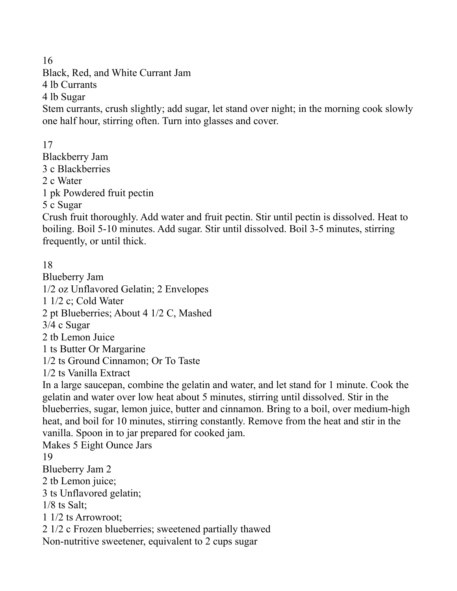16

Black, Red, and White Currant Jam 4 lb Currants 4 lb Sugar Stem currants, crush slightly; add sugar, let stand over night; in the morning cook slowly one half hour, stirring often. Turn into glasses and cover.

17 Blackberry Jam 3 c Blackberries 2 c Water 1 pk Powdered fruit pectin 5 c Sugar

Crush fruit thoroughly. Add water and fruit pectin. Stir until pectin is dissolved. Heat to boiling. Boil 5-10 minutes. Add sugar. Stir until dissolved. Boil 3-5 minutes, stirring frequently, or until thick.

18 Blueberry Jam 1/2 oz Unflavored Gelatin; 2 Envelopes 1 1/2 c; Cold Water 2 pt Blueberries; About 4 1/2 C, Mashed 3/4 c Sugar 2 tb Lemon Juice 1 ts Butter Or Margarine 1/2 ts Ground Cinnamon; Or To Taste 1/2 ts Vanilla Extract In a large saucepan, combine the gelatin and water, and let stand for 1 minute. Cook the gelatin and water over low heat about 5 minutes, stirring until dissolved. Stir in the blueberries, sugar, lemon juice, butter and cinnamon. Bring to a boil, over medium-high heat, and boil for 10 minutes, stirring constantly. Remove from the heat and stir in the vanilla. Spoon in to jar prepared for cooked jam. Makes 5 Eight Ounce Jars 19 Blueberry Jam 2 2 tb Lemon juice; 3 ts Unflavored gelatin; 1/8 ts Salt; 1 1/2 ts Arrowroot; 2 1/2 c Frozen blueberries; sweetened partially thawed Non-nutritive sweetener, equivalent to 2 cups sugar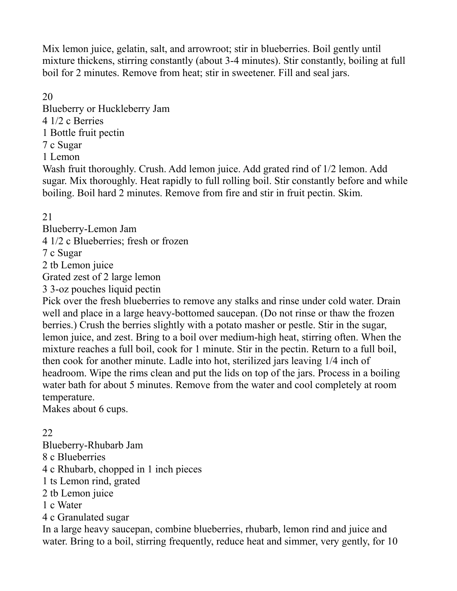Mix lemon juice, gelatin, salt, and arrowroot; stir in blueberries. Boil gently until mixture thickens, stirring constantly (about 3-4 minutes). Stir constantly, boiling at full boil for 2 minutes. Remove from heat; stir in sweetener. Fill and seal jars.

#### 20

Blueberry or Huckleberry Jam 4 1/2 c Berries 1 Bottle fruit pectin 7 c Sugar 1 Lemon

Wash fruit thoroughly. Crush. Add lemon juice. Add grated rind of 1/2 lemon. Add sugar. Mix thoroughly. Heat rapidly to full rolling boil. Stir constantly before and while boiling. Boil hard 2 minutes. Remove from fire and stir in fruit pectin. Skim.

21

Blueberry-Lemon Jam 4 1/2 c Blueberries; fresh or frozen 7 c Sugar 2 tb Lemon juice Grated zest of 2 large lemon 3 3-oz pouches liquid pectin

Pick over the fresh blueberries to remove any stalks and rinse under cold water. Drain well and place in a large heavy-bottomed saucepan. (Do not rinse or thaw the frozen berries.) Crush the berries slightly with a potato masher or pestle. Stir in the sugar, lemon juice, and zest. Bring to a boil over medium-high heat, stirring often. When the mixture reaches a full boil, cook for 1 minute. Stir in the pectin. Return to a full boil, then cook for another minute. Ladle into hot, sterilized jars leaving 1/4 inch of headroom. Wipe the rims clean and put the lids on top of the jars. Process in a boiling water bath for about 5 minutes. Remove from the water and cool completely at room temperature.

Makes about 6 cups.

# 22

Blueberry-Rhubarb Jam

8 c Blueberries

4 c Rhubarb, chopped in 1 inch pieces

1 ts Lemon rind, grated

2 tb Lemon juice

1 c Water

4 c Granulated sugar

In a large heavy saucepan, combine blueberries, rhubarb, lemon rind and juice and water. Bring to a boil, stirring frequently, reduce heat and simmer, very gently, for 10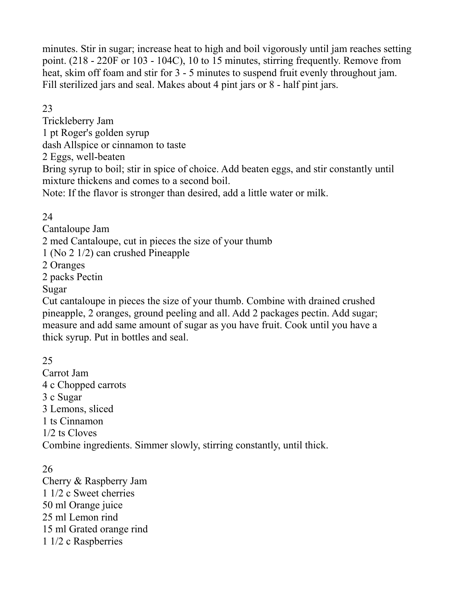minutes. Stir in sugar; increase heat to high and boil vigorously until jam reaches setting point. (218 - 220F or 103 - 104C), 10 to 15 minutes, stirring frequently. Remove from heat, skim off foam and stir for 3 - 5 minutes to suspend fruit evenly throughout jam. Fill sterilized jars and seal. Makes about 4 pint jars or 8 - half pint jars.

23

Trickleberry Jam 1 pt Roger's golden syrup dash Allspice or cinnamon to taste 2 Eggs, well-beaten Bring syrup to boil; stir in spice of choice. Add beaten eggs, and stir constantly until mixture thickens and comes to a second boil. Note: If the flavor is stronger than desired, add a little water or milk.

24

Cantaloupe Jam

2 med Cantaloupe, cut in pieces the size of your thumb

1 (No 2 1/2) can crushed Pineapple

2 Oranges

2 packs Pectin

Sugar

Cut cantaloupe in pieces the size of your thumb. Combine with drained crushed pineapple, 2 oranges, ground peeling and all. Add 2 packages pectin. Add sugar; measure and add same amount of sugar as you have fruit. Cook until you have a thick syrup. Put in bottles and seal.

25 Carrot Jam 4 c Chopped carrots 3 c Sugar

3 Lemons, sliced 1 ts Cinnamon

1/2 ts Cloves

Combine ingredients. Simmer slowly, stirring constantly, until thick.

26 Cherry & Raspberry Jam 1 1/2 c Sweet cherries 50 ml Orange juice 25 ml Lemon rind 15 ml Grated orange rind 1 1/2 c Raspberries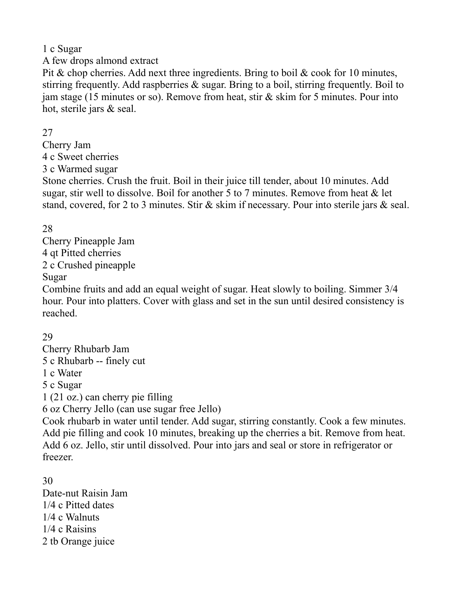#### 1 c Sugar

A few drops almond extract

Pit & chop cherries. Add next three ingredients. Bring to boil  $\&$  cook for 10 minutes, stirring frequently. Add raspberries & sugar. Bring to a boil, stirring frequently. Boil to jam stage (15 minutes or so). Remove from heat, stir & skim for 5 minutes. Pour into hot, sterile jars & seal.

#### 27

Cherry Jam 4 c Sweet cherries 3 c Warmed sugar

Stone cherries. Crush the fruit. Boil in their juice till tender, about 10 minutes. Add sugar, stir well to dissolve. Boil for another 5 to 7 minutes. Remove from heat  $\&$  let stand, covered, for 2 to 3 minutes. Stir & skim if necessary. Pour into sterile jars & seal.

# 28

Cherry Pineapple Jam 4 qt Pitted cherries 2 c Crushed pineapple Sugar

Combine fruits and add an equal weight of sugar. Heat slowly to boiling. Simmer 3/4 hour. Pour into platters. Cover with glass and set in the sun until desired consistency is reached.

#### 29

Cherry Rhubarb Jam 5 c Rhubarb -- finely cut 1 c Water 5 c Sugar 1 (21 oz.) can cherry pie filling 6 oz Cherry Jello (can use sugar free Jello) Cook rhubarb in water until tender. Add sugar, stirring constantly. Cook a few minutes. Add pie filling and cook 10 minutes, breaking up the cherries a bit. Remove from heat. Add 6 oz. Jello, stir until dissolved. Pour into jars and seal or store in refrigerator or freezer.

30 Date-nut Raisin Jam 1/4 c Pitted dates 1/4 c Walnuts 1/4 c Raisins 2 tb Orange juice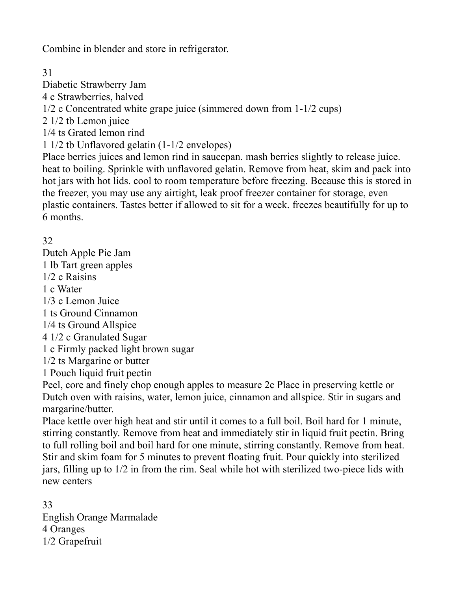Combine in blender and store in refrigerator.

31

Diabetic Strawberry Jam

4 c Strawberries, halved

1/2 c Concentrated white grape juice (simmered down from 1-1/2 cups)

2 1/2 tb Lemon juice

1/4 ts Grated lemon rind

1 1/2 tb Unflavored gelatin (1-1/2 envelopes)

Place berries juices and lemon rind in saucepan. mash berries slightly to release juice. heat to boiling. Sprinkle with unflavored gelatin. Remove from heat, skim and pack into hot jars with hot lids. cool to room temperature before freezing. Because this is stored in the freezer, you may use any airtight, leak proof freezer container for storage, even plastic containers. Tastes better if allowed to sit for a week. freezes beautifully for up to 6 months.

32

Dutch Apple Pie Jam 1 lb Tart green apples 1/2 c Raisins 1 c Water 1/3 c Lemon Juice 1 ts Ground Cinnamon 1/4 ts Ground Allspice 4 1/2 c Granulated Sugar 1 c Firmly packed light brown sugar 1/2 ts Margarine or butter 1 Pouch liquid fruit pectin Peel, core and finely chop enough apples to measure 2c Place in preserving kettle or Dutch oven with raisins, water, lemon juice, cinnamon and allspice. Stir in sugars and margarine/butter.

Place kettle over high heat and stir until it comes to a full boil. Boil hard for 1 minute, stirring constantly. Remove from heat and immediately stir in liquid fruit pectin. Bring to full rolling boil and boil hard for one minute, stirring constantly. Remove from heat. Stir and skim foam for 5 minutes to prevent floating fruit. Pour quickly into sterilized jars, filling up to 1/2 in from the rim. Seal while hot with sterilized two-piece lids with new centers

33 English Orange Marmalade 4 Oranges 1/2 Grapefruit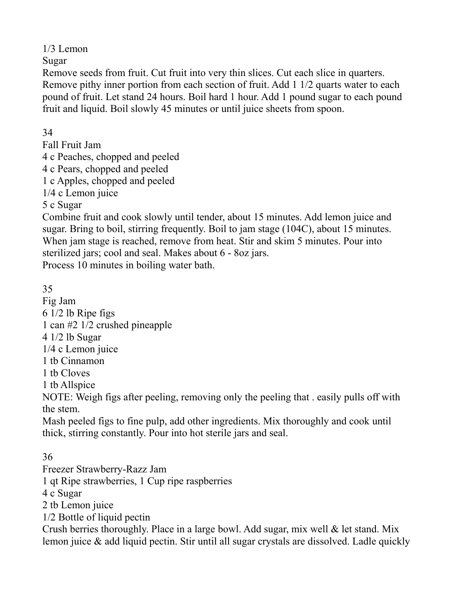1/3 Lemon

Sugar

Remove seeds from fruit. Cut fruit into very thin slices. Cut each slice in quarters. Remove pithy inner portion from each section of fruit. Add 1 1/2 quarts water to each pound of fruit. Let stand 24 hours. Boil hard 1 hour. Add 1 pound sugar to each pound fruit and liquid. Boil slowly 45 minutes or until juice sheets from spoon.

34

Fall Fruit Jam 4 c Peaches, chopped and peeled 4 c Pears, chopped and peeled 1 c Apples, chopped and peeled 1/4 c Lemon juice 5 c Sugar

Combine fruit and cook slowly until tender, about 15 minutes. Add lemon juice and sugar. Bring to boil, stirring frequently. Boil to jam stage (104C), about 15 minutes. When jam stage is reached, remove from heat. Stir and skim 5 minutes. Pour into sterilized jars; cool and seal. Makes about 6 - 8oz jars. Process 10 minutes in boiling water bath.

35

Fig Jam 6 1/2 lb Ripe figs 1 can #2 1/2 crushed pineapple 4 1/2 lb Sugar 1/4 c Lemon juice 1 tb Cinnamon 1 tb Cloves 1 tb Allspice NOTE: Weigh figs after peeling, removing only the peeling that . easily pulls off with the stem. Mash peeled figs to fine pulp, add other ingredients. Mix thoroughly and cook until thick, stirring constantly. Pour into hot sterile jars and seal.

36 Freezer Strawberry-Razz Jam 1 qt Ripe strawberries, 1 Cup ripe raspberries 4 c Sugar 2 tb Lemon juice 1/2 Bottle of liquid pectin Crush berries thoroughly. Place in a large bowl. Add sugar, mix well  $\&$  let stand. Mix lemon juice & add liquid pectin. Stir until all sugar crystals are dissolved. Ladle quickly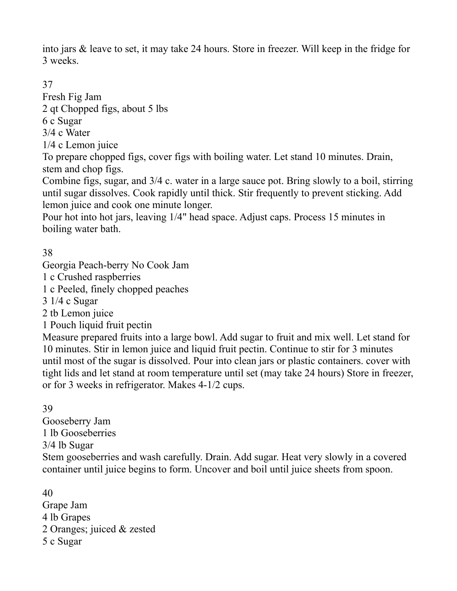into jars & leave to set, it may take 24 hours. Store in freezer. Will keep in the fridge for 3 weeks.

37

Fresh Fig Jam 2 qt Chopped figs, about 5 lbs

6 c Sugar

3/4 c Water

1/4 c Lemon juice

To prepare chopped figs, cover figs with boiling water. Let stand 10 minutes. Drain, stem and chop figs.

Combine figs, sugar, and 3/4 c. water in a large sauce pot. Bring slowly to a boil, stirring until sugar dissolves. Cook rapidly until thick. Stir frequently to prevent sticking. Add lemon juice and cook one minute longer.

Pour hot into hot jars, leaving 1/4" head space. Adjust caps. Process 15 minutes in boiling water bath.

38

Georgia Peach-berry No Cook Jam

1 c Crushed raspberries

1 c Peeled, finely chopped peaches

3 1/4 c Sugar

2 tb Lemon juice

1 Pouch liquid fruit pectin

Measure prepared fruits into a large bowl. Add sugar to fruit and mix well. Let stand for 10 minutes. Stir in lemon juice and liquid fruit pectin. Continue to stir for 3 minutes until most of the sugar is dissolved. Pour into clean jars or plastic containers. cover with tight lids and let stand at room temperature until set (may take 24 hours) Store in freezer, or for 3 weeks in refrigerator. Makes 4-1/2 cups.

39

Gooseberry Jam 1 lb Gooseberries 3/4 lb Sugar Stem gooseberries and wash carefully. Drain. Add sugar. Heat very slowly in a covered container until juice begins to form. Uncover and boil until juice sheets from spoon.

40 Grape Jam 4 lb Grapes 2 Oranges; juiced & zested 5 c Sugar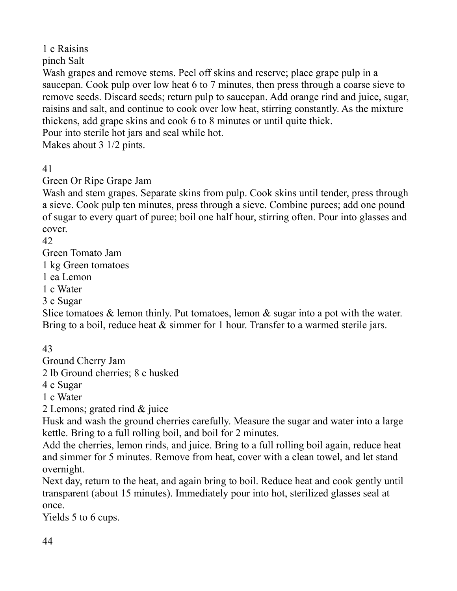1 c Raisins

pinch Salt

Wash grapes and remove stems. Peel off skins and reserve; place grape pulp in a saucepan. Cook pulp over low heat 6 to 7 minutes, then press through a coarse sieve to remove seeds. Discard seeds; return pulp to saucepan. Add orange rind and juice, sugar, raisins and salt, and continue to cook over low heat, stirring constantly. As the mixture thickens, add grape skins and cook 6 to 8 minutes or until quite thick.

Pour into sterile hot jars and seal while hot.

Makes about 3 1/2 pints.

41

Green Or Ripe Grape Jam

Wash and stem grapes. Separate skins from pulp. Cook skins until tender, press through a sieve. Cook pulp ten minutes, press through a sieve. Combine purees; add one pound of sugar to every quart of puree; boil one half hour, stirring often. Pour into glasses and cover.

42

Green Tomato Jam

1 kg Green tomatoes

1 ea Lemon

1 c Water

3 c Sugar

Slice tomatoes  $\&$  lemon thinly. Put tomatoes, lemon  $\&$  sugar into a pot with the water. Bring to a boil, reduce heat  $\&$  simmer for 1 hour. Transfer to a warmed sterile jars.

43

Ground Cherry Jam

2 lb Ground cherries; 8 c husked

4 c Sugar

1 c Water

2 Lemons; grated rind & juice

Husk and wash the ground cherries carefully. Measure the sugar and water into a large kettle. Bring to a full rolling boil, and boil for 2 minutes.

Add the cherries, lemon rinds, and juice. Bring to a full rolling boil again, reduce heat and simmer for 5 minutes. Remove from heat, cover with a clean towel, and let stand overnight.

Next day, return to the heat, and again bring to boil. Reduce heat and cook gently until transparent (about 15 minutes). Immediately pour into hot, sterilized glasses seal at once.

Yields 5 to 6 cups.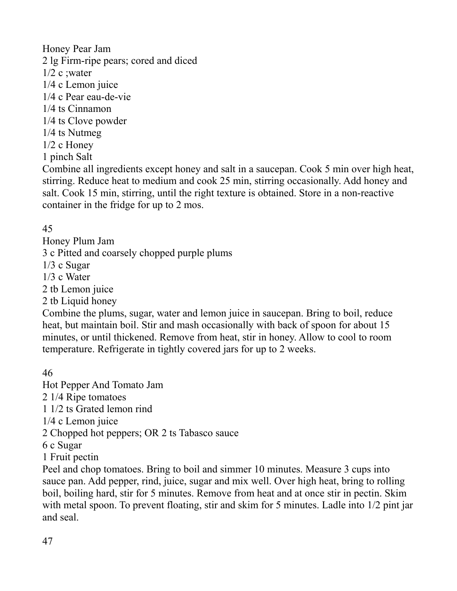Honey Pear Jam 2 lg Firm-ripe pears; cored and diced  $1/2$  c ; water 1/4 c Lemon juice 1/4 c Pear eau-de-vie 1/4 ts Cinnamon 1/4 ts Clove powder 1/4 ts Nutmeg 1/2 c Honey 1 pinch Salt

Combine all ingredients except honey and salt in a saucepan. Cook 5 min over high heat, stirring. Reduce heat to medium and cook 25 min, stirring occasionally. Add honey and salt. Cook 15 min, stirring, until the right texture is obtained. Store in a non-reactive container in the fridge for up to 2 mos.

# 45

Honey Plum Jam 3 c Pitted and coarsely chopped purple plums 1/3 c Sugar 1/3 c Water 2 tb Lemon juice 2 tb Liquid honey

Combine the plums, sugar, water and lemon juice in saucepan. Bring to boil, reduce heat, but maintain boil. Stir and mash occasionally with back of spoon for about 15 minutes, or until thickened. Remove from heat, stir in honey. Allow to cool to room temperature. Refrigerate in tightly covered jars for up to 2 weeks.

# 46

Hot Pepper And Tomato Jam 2 1/4 Ripe tomatoes

1 1/2 ts Grated lemon rind

1/4 c Lemon juice

2 Chopped hot peppers; OR 2 ts Tabasco sauce

6 c Sugar

1 Fruit pectin

Peel and chop tomatoes. Bring to boil and simmer 10 minutes. Measure 3 cups into sauce pan. Add pepper, rind, juice, sugar and mix well. Over high heat, bring to rolling boil, boiling hard, stir for 5 minutes. Remove from heat and at once stir in pectin. Skim with metal spoon. To prevent floating, stir and skim for 5 minutes. Ladle into  $1/2$  pint jar and seal.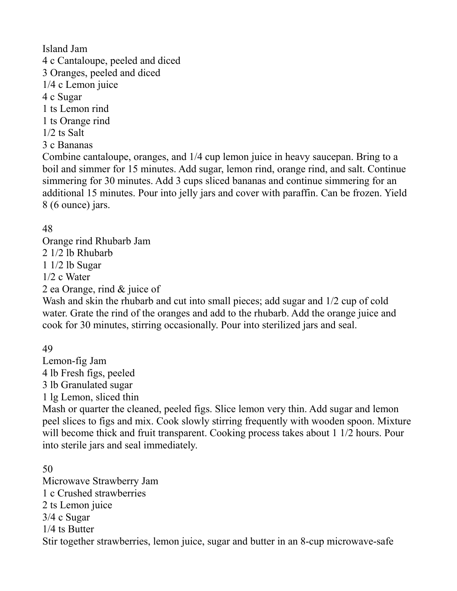Island Jam 4 c Cantaloupe, peeled and diced 3 Oranges, peeled and diced 1/4 c Lemon juice 4 c Sugar 1 ts Lemon rind 1 ts Orange rind 1/2 ts Salt 3 c Bananas

Combine cantaloupe, oranges, and 1/4 cup lemon juice in heavy saucepan. Bring to a boil and simmer for 15 minutes. Add sugar, lemon rind, orange rind, and salt. Continue simmering for 30 minutes. Add 3 cups sliced bananas and continue simmering for an additional 15 minutes. Pour into jelly jars and cover with paraffin. Can be frozen. Yield 8 (6 ounce) jars.

#### 48

Orange rind Rhubarb Jam 2 1/2 lb Rhubarb 1 1/2 lb Sugar 1/2 c Water 2 ea Orange, rind & juice of

Wash and skin the rhubarb and cut into small pieces; add sugar and 1/2 cup of cold water. Grate the rind of the oranges and add to the rhubarb. Add the orange juice and cook for 30 minutes, stirring occasionally. Pour into sterilized jars and seal.

49

Lemon-fig Jam 4 lb Fresh figs, peeled 3 lb Granulated sugar 1 lg Lemon, sliced thin

Mash or quarter the cleaned, peeled figs. Slice lemon very thin. Add sugar and lemon peel slices to figs and mix. Cook slowly stirring frequently with wooden spoon. Mixture will become thick and fruit transparent. Cooking process takes about 1 1/2 hours. Pour into sterile jars and seal immediately.

50 Microwave Strawberry Jam 1 c Crushed strawberries 2 ts Lemon juice 3/4 c Sugar 1/4 ts Butter Stir together strawberries, lemon juice, sugar and butter in an 8-cup microwave-safe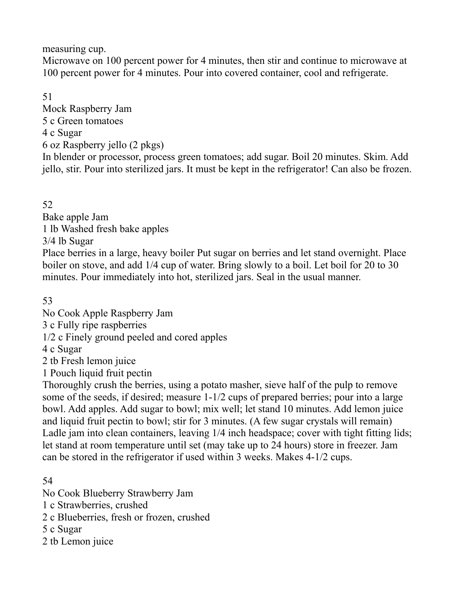measuring cup.

Microwave on 100 percent power for 4 minutes, then stir and continue to microwave at 100 percent power for 4 minutes. Pour into covered container, cool and refrigerate.

51

Mock Raspberry Jam 5 c Green tomatoes 4 c Sugar 6 oz Raspberry jello (2 pkgs) In blender or processor, process green tomatoes; add sugar. Boil 20 minutes. Skim. Add jello, stir. Pour into sterilized jars. It must be kept in the refrigerator! Can also be frozen.

52

Bake apple Jam 1 lb Washed fresh bake apples

3/4 lb Sugar

Place berries in a large, heavy boiler Put sugar on berries and let stand overnight. Place boiler on stove, and add 1/4 cup of water. Bring slowly to a boil. Let boil for 20 to 30 minutes. Pour immediately into hot, sterilized jars. Seal in the usual manner.

53

No Cook Apple Raspberry Jam

3 c Fully ripe raspberries

1/2 c Finely ground peeled and cored apples

4 c Sugar

2 tb Fresh lemon juice

1 Pouch liquid fruit pectin

Thoroughly crush the berries, using a potato masher, sieve half of the pulp to remove some of the seeds, if desired; measure 1-1/2 cups of prepared berries; pour into a large bowl. Add apples. Add sugar to bowl; mix well; let stand 10 minutes. Add lemon juice and liquid fruit pectin to bowl; stir for 3 minutes. (A few sugar crystals will remain) Ladle jam into clean containers, leaving 1/4 inch headspace; cover with tight fitting lids; let stand at room temperature until set (may take up to 24 hours) store in freezer. Jam can be stored in the refrigerator if used within 3 weeks. Makes 4-1/2 cups.

54

No Cook Blueberry Strawberry Jam

1 c Strawberries, crushed

2 c Blueberries, fresh or frozen, crushed

5 c Sugar

2 tb Lemon juice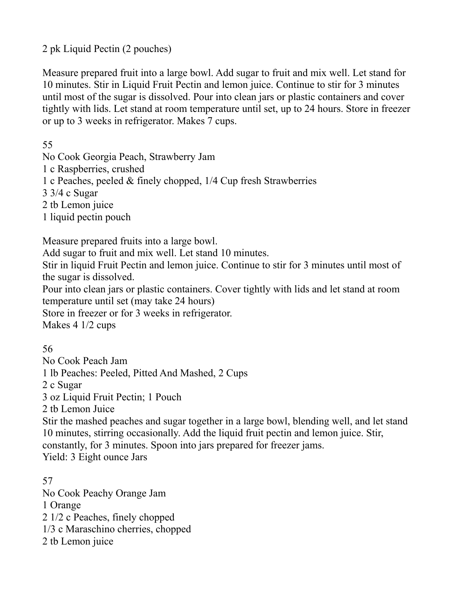2 pk Liquid Pectin (2 pouches)

Measure prepared fruit into a large bowl. Add sugar to fruit and mix well. Let stand for 10 minutes. Stir in Liquid Fruit Pectin and lemon juice. Continue to stir for 3 minutes until most of the sugar is dissolved. Pour into clean jars or plastic containers and cover tightly with lids. Let stand at room temperature until set, up to 24 hours. Store in freezer or up to 3 weeks in refrigerator. Makes 7 cups.

55

No Cook Georgia Peach, Strawberry Jam

1 c Raspberries, crushed

1 c Peaches, peeled & finely chopped, 1/4 Cup fresh Strawberries

3 3/4 c Sugar

2 tb Lemon juice

1 liquid pectin pouch

Measure prepared fruits into a large bowl.

Add sugar to fruit and mix well. Let stand 10 minutes.

Stir in liquid Fruit Pectin and lemon juice. Continue to stir for 3 minutes until most of the sugar is dissolved.

Pour into clean jars or plastic containers. Cover tightly with lids and let stand at room temperature until set (may take 24 hours)

Store in freezer or for 3 weeks in refrigerator.

Makes 4 1/2 cups

56

No Cook Peach Jam 1 lb Peaches: Peeled, Pitted And Mashed, 2 Cups 2 c Sugar 3 oz Liquid Fruit Pectin; 1 Pouch 2 tb Lemon Juice Stir the mashed peaches and sugar together in a large bowl, blending well, and let stand 10 minutes, stirring occasionally. Add the liquid fruit pectin and lemon juice. Stir, constantly, for 3 minutes. Spoon into jars prepared for freezer jams. Yield: 3 Eight ounce Jars

57 No Cook Peachy Orange Jam 1 Orange 2 1/2 c Peaches, finely chopped 1/3 c Maraschino cherries, chopped 2 tb Lemon juice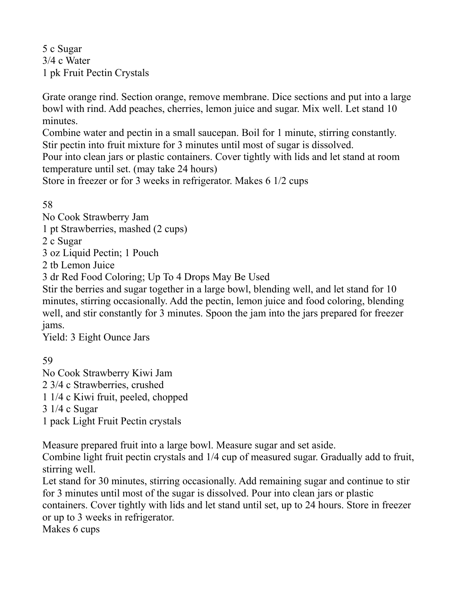5 c Sugar 3/4 c Water 1 pk Fruit Pectin Crystals

Grate orange rind. Section orange, remove membrane. Dice sections and put into a large bowl with rind. Add peaches, cherries, lemon juice and sugar. Mix well. Let stand 10 minutes.

Combine water and pectin in a small saucepan. Boil for 1 minute, stirring constantly. Stir pectin into fruit mixture for 3 minutes until most of sugar is dissolved. Pour into clean jars or plastic containers. Cover tightly with lids and let stand at room temperature until set. (may take 24 hours)

Store in freezer or for 3 weeks in refrigerator. Makes 6 1/2 cups

58

No Cook Strawberry Jam

1 pt Strawberries, mashed (2 cups)

2 c Sugar

3 oz Liquid Pectin; 1 Pouch

2 tb Lemon Juice

3 dr Red Food Coloring; Up To 4 Drops May Be Used

Stir the berries and sugar together in a large bowl, blending well, and let stand for 10 minutes, stirring occasionally. Add the pectin, lemon juice and food coloring, blending well, and stir constantly for 3 minutes. Spoon the jam into the jars prepared for freezer jams.

Yield: 3 Eight Ounce Jars

59

No Cook Strawberry Kiwi Jam 2 3/4 c Strawberries, crushed 1 1/4 c Kiwi fruit, peeled, chopped 3 1/4 c Sugar 1 pack Light Fruit Pectin crystals

Measure prepared fruit into a large bowl. Measure sugar and set aside.

Combine light fruit pectin crystals and 1/4 cup of measured sugar. Gradually add to fruit, stirring well.

Let stand for 30 minutes, stirring occasionally. Add remaining sugar and continue to stir for 3 minutes until most of the sugar is dissolved. Pour into clean jars or plastic containers. Cover tightly with lids and let stand until set, up to 24 hours. Store in freezer

or up to 3 weeks in refrigerator.

Makes 6 cups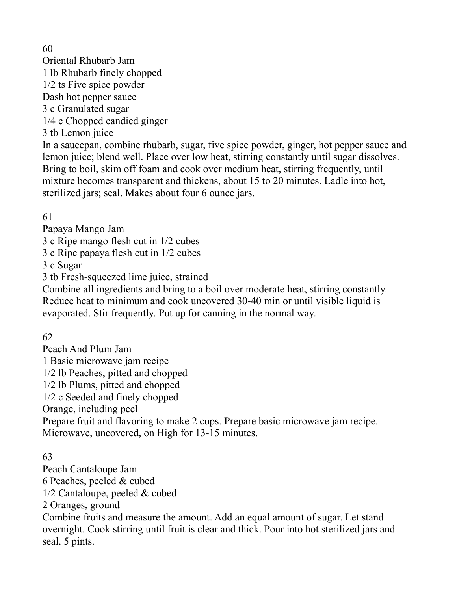60

Oriental Rhubarb Jam 1 lb Rhubarb finely chopped 1/2 ts Five spice powder Dash hot pepper sauce 3 c Granulated sugar 1/4 c Chopped candied ginger 3 tb Lemon juice

In a saucepan, combine rhubarb, sugar, five spice powder, ginger, hot pepper sauce and lemon juice; blend well. Place over low heat, stirring constantly until sugar dissolves. Bring to boil, skim off foam and cook over medium heat, stirring frequently, until mixture becomes transparent and thickens, about 15 to 20 minutes. Ladle into hot, sterilized jars; seal. Makes about four 6 ounce jars.

61

Papaya Mango Jam

3 c Ripe mango flesh cut in 1/2 cubes

3 c Ripe papaya flesh cut in 1/2 cubes

3 c Sugar

3 tb Fresh-squeezed lime juice, strained

Combine all ingredients and bring to a boil over moderate heat, stirring constantly. Reduce heat to minimum and cook uncovered 30-40 min or until visible liquid is evaporated. Stir frequently. Put up for canning in the normal way.

62

Peach And Plum Jam 1 Basic microwave jam recipe 1/2 lb Peaches, pitted and chopped 1/2 lb Plums, pitted and chopped 1/2 c Seeded and finely chopped Orange, including peel Prepare fruit and flavoring to make 2 cups. Prepare basic microwave jam recipe. Microwave, uncovered, on High for 13-15 minutes.

63

Peach Cantaloupe Jam 6 Peaches, peeled & cubed 1/2 Cantaloupe, peeled & cubed 2 Oranges, ground Combine fruits and measure the amount. Add an equal amount of sugar. Let stand overnight. Cook stirring until fruit is clear and thick. Pour into hot sterilized jars and seal. 5 pints.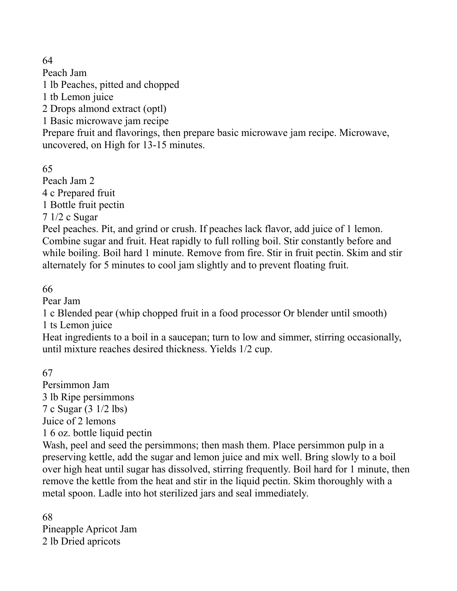64

Peach Jam 1 lb Peaches, pitted and chopped 1 tb Lemon juice 2 Drops almond extract (optl) 1 Basic microwave jam recipe Prepare fruit and flavorings, then prepare basic microwave jam recipe. Microwave, uncovered, on High for 13-15 minutes.

65

Peach Jam 2 4 c Prepared fruit 1 Bottle fruit pectin 7 1/2 c Sugar

Peel peaches. Pit, and grind or crush. If peaches lack flavor, add juice of 1 lemon. Combine sugar and fruit. Heat rapidly to full rolling boil. Stir constantly before and while boiling. Boil hard 1 minute. Remove from fire. Stir in fruit pectin. Skim and stir alternately for 5 minutes to cool jam slightly and to prevent floating fruit.

66

Pear Jam

1 c Blended pear (whip chopped fruit in a food processor Or blender until smooth) 1 ts Lemon juice

Heat ingredients to a boil in a saucepan; turn to low and simmer, stirring occasionally, until mixture reaches desired thickness. Yields 1/2 cup.

67

Persimmon Jam 3 lb Ripe persimmons 7 c Sugar (3 1/2 lbs) Juice of 2 lemons 1 6 oz. bottle liquid pectin

Wash, peel and seed the persimmons; then mash them. Place persimmon pulp in a preserving kettle, add the sugar and lemon juice and mix well. Bring slowly to a boil over high heat until sugar has dissolved, stirring frequently. Boil hard for 1 minute, then remove the kettle from the heat and stir in the liquid pectin. Skim thoroughly with a metal spoon. Ladle into hot sterilized jars and seal immediately.

68 Pineapple Apricot Jam 2 lb Dried apricots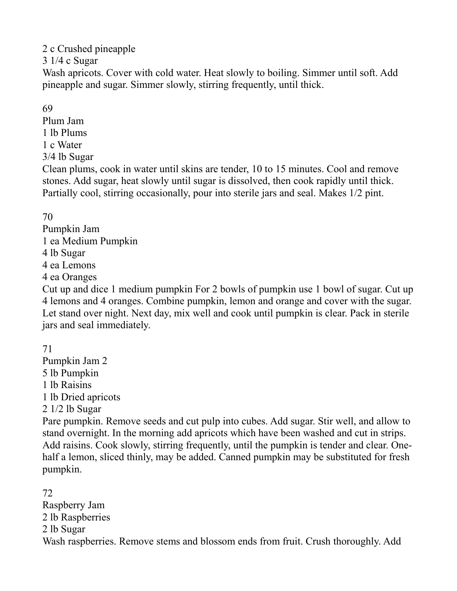2 c Crushed pineapple

3 1/4 c Sugar

Wash apricots. Cover with cold water. Heat slowly to boiling. Simmer until soft. Add pineapple and sugar. Simmer slowly, stirring frequently, until thick.

69

Plum Jam 1 lb Plums

1 c Water

3/4 lb Sugar

Clean plums, cook in water until skins are tender, 10 to 15 minutes. Cool and remove stones. Add sugar, heat slowly until sugar is dissolved, then cook rapidly until thick. Partially cool, stirring occasionally, pour into sterile jars and seal. Makes 1/2 pint.

70

Pumpkin Jam 1 ea Medium Pumpkin 4 lb Sugar 4 ea Lemons 4 ea Oranges

Cut up and dice 1 medium pumpkin For 2 bowls of pumpkin use 1 bowl of sugar. Cut up 4 lemons and 4 oranges. Combine pumpkin, lemon and orange and cover with the sugar. Let stand over night. Next day, mix well and cook until pumpkin is clear. Pack in sterile jars and seal immediately.

71 Pumpkin Jam 2 5 lb Pumpkin 1 lb Raisins 1 lb Dried apricots 2 1/2 lb Sugar

Pare pumpkin. Remove seeds and cut pulp into cubes. Add sugar. Stir well, and allow to stand overnight. In the morning add apricots which have been washed and cut in strips. Add raisins. Cook slowly, stirring frequently, until the pumpkin is tender and clear. Onehalf a lemon, sliced thinly, may be added. Canned pumpkin may be substituted for fresh pumpkin.

72 Raspberry Jam 2 lb Raspberries 2 lb Sugar Wash raspberries. Remove stems and blossom ends from fruit. Crush thoroughly. Add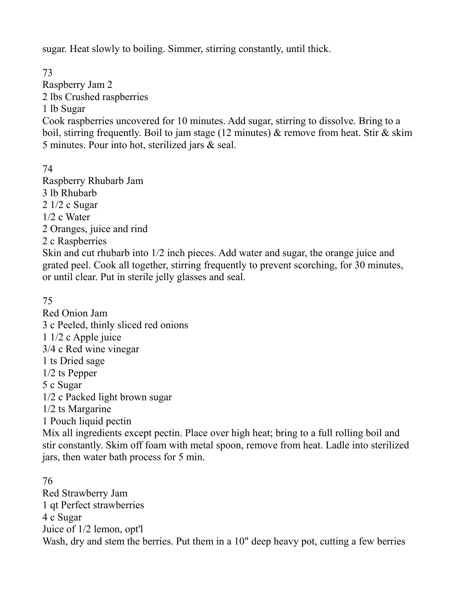sugar. Heat slowly to boiling. Simmer, stirring constantly, until thick.

73 Raspberry Jam 2 2 lbs Crushed raspberries 1 lb Sugar Cook raspberries uncovered for 10 minutes. Add sugar, stirring to dissolve. Bring to a boil, stirring frequently. Boil to jam stage (12 minutes)  $\&$  remove from heat. Stir  $\&$  skim 5 minutes. Pour into hot, sterilized jars & seal.

74 Raspberry Rhubarb Jam 3 lb Rhubarb 2 1/2 c Sugar 1/2 c Water 2 Oranges, juice and rind 2 c Raspberries Skin and cut rhubarb into 1/2 inch pieces. Add water and sugar, the orange juice and grated peel. Cook all together, stirring frequently to prevent scorching, for 30 minutes, or until clear. Put in sterile jelly glasses and seal.

75

Red Onion Jam 3 c Peeled, thinly sliced red onions 1 1/2 c Apple juice 3/4 c Red wine vinegar 1 ts Dried sage 1/2 ts Pepper 5 c Sugar 1/2 c Packed light brown sugar 1/2 ts Margarine 1 Pouch liquid pectin Mix all ingredients except pectin. Place over high heat; bring to a full rolling boil and stir constantly. Skim off foam with metal spoon, remove from heat. Ladle into sterilized jars, then water bath process for 5 min.

76 Red Strawberry Jam 1 qt Perfect strawberries 4 c Sugar Juice of 1/2 lemon, opt'l Wash, dry and stem the berries. Put them in a 10" deep heavy pot, cutting a few berries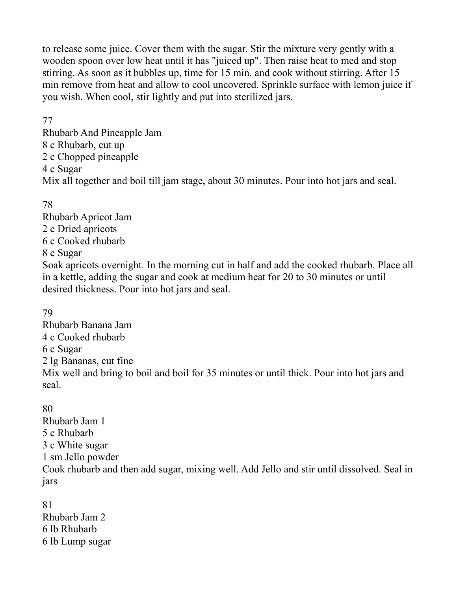to release some juice. Cover them with the sugar. Stir the mixture very gently with a wooden spoon over low heat until it has "juiced up". Then raise heat to med and stop stirring. As soon as it bubbles up, time for 15 min. and cook without stirring. After 15 min remove from heat and allow to cool uncovered. Sprinkle surface with lemon juice if you wish. When cool, stir lightly and put into sterilized jars.

#### 77

Rhubarb And Pineapple Jam 8 c Rhubarb, cut up 2 c Chopped pineapple 4 c Sugar Mix all together and boil till jam stage, about 30 minutes. Pour into hot jars and seal.

78

Rhubarb Apricot Jam 2 c Dried apricots 6 c Cooked rhubarb 8 c Sugar Soak apricots overnight. In the morning cut in half and add the cooked rhubarb. Place all in a kettle, adding the sugar and cook at medium heat for 20 to 30 minutes or until desired thickness. Pour into hot jars and seal.

79

Rhubarb Banana Jam 4 c Cooked rhubarb 6 c Sugar 2 lg Bananas, cut fine Mix well and bring to boil and boil for 35 minutes or until thick. Pour into hot jars and seal.

80 Rhubarb Jam 1 5 c Rhubarb 3 c White sugar 1 sm Jello powder Cook rhubarb and then add sugar, mixing well. Add Jello and stir until dissolved. Seal in jars

81 Rhubarb Jam 2 6 lb Rhubarb 6 lb Lump sugar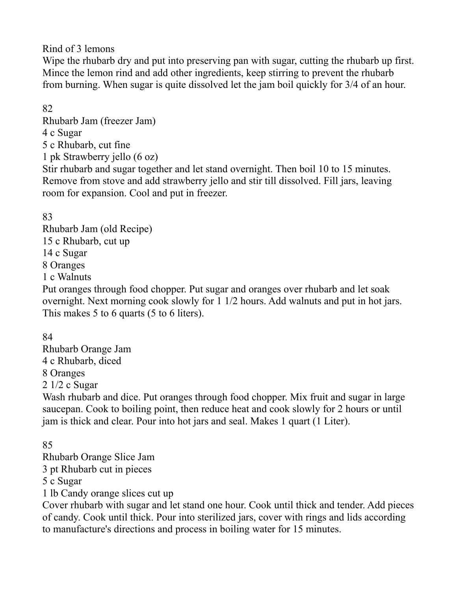Rind of 3 lemons

Wipe the rhubarb dry and put into preserving pan with sugar, cutting the rhubarb up first. Mince the lemon rind and add other ingredients, keep stirring to prevent the rhubarb from burning. When sugar is quite dissolved let the jam boil quickly for 3/4 of an hour.

### 82

Rhubarb Jam (freezer Jam) 4 c Sugar 5 c Rhubarb, cut fine

1 pk Strawberry jello (6 oz)

Stir rhubarb and sugar together and let stand overnight. Then boil 10 to 15 minutes. Remove from stove and add strawberry jello and stir till dissolved. Fill jars, leaving room for expansion. Cool and put in freezer.

83

Rhubarb Jam (old Recipe) 15 c Rhubarb, cut up 14 c Sugar 8 Oranges 1 c Walnuts

Put oranges through food chopper. Put sugar and oranges over rhubarb and let soak overnight. Next morning cook slowly for 1 1/2 hours. Add walnuts and put in hot jars. This makes 5 to 6 quarts (5 to 6 liters).

84

Rhubarb Orange Jam 4 c Rhubarb, diced 8 Oranges 2 1/2 c Sugar

Wash rhubarb and dice. Put oranges through food chopper. Mix fruit and sugar in large saucepan. Cook to boiling point, then reduce heat and cook slowly for 2 hours or until jam is thick and clear. Pour into hot jars and seal. Makes 1 quart (1 Liter).

85

Rhubarb Orange Slice Jam

3 pt Rhubarb cut in pieces

5 c Sugar

1 lb Candy orange slices cut up

Cover rhubarb with sugar and let stand one hour. Cook until thick and tender. Add pieces of candy. Cook until thick. Pour into sterilized jars, cover with rings and lids according to manufacture's directions and process in boiling water for 15 minutes.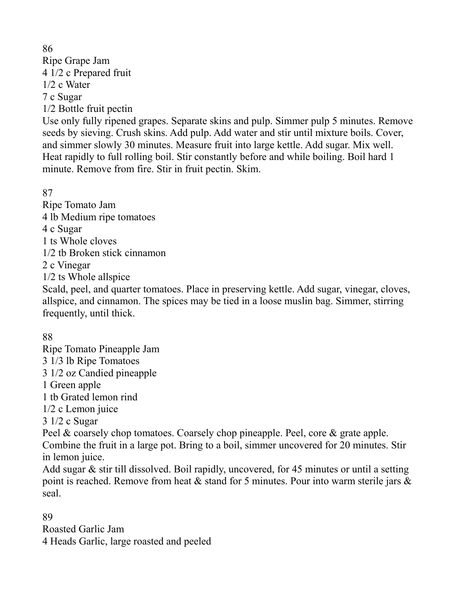86 Ripe Grape Jam 4 1/2 c Prepared fruit 1/2 c Water 7 c Sugar 1/2 Bottle fruit pectin

Use only fully ripened grapes. Separate skins and pulp. Simmer pulp 5 minutes. Remove seeds by sieving. Crush skins. Add pulp. Add water and stir until mixture boils. Cover, and simmer slowly 30 minutes. Measure fruit into large kettle. Add sugar. Mix well. Heat rapidly to full rolling boil. Stir constantly before and while boiling. Boil hard 1 minute. Remove from fire. Stir in fruit pectin. Skim.

87

Ripe Tomato Jam 4 lb Medium ripe tomatoes 4 c Sugar 1 ts Whole cloves 1/2 tb Broken stick cinnamon 2 c Vinegar 1/2 ts Whole allspice

Scald, peel, and quarter tomatoes. Place in preserving kettle. Add sugar, vinegar, cloves, allspice, and cinnamon. The spices may be tied in a loose muslin bag. Simmer, stirring frequently, until thick.

88

seal.

Ripe Tomato Pineapple Jam 3 1/3 lb Ripe Tomatoes 3 1/2 oz Candied pineapple 1 Green apple 1 tb Grated lemon rind 1/2 c Lemon juice 3 1/2 c Sugar Peel & coarsely chop tomatoes. Coarsely chop pineapple. Peel, core & grate apple. Combine the fruit in a large pot. Bring to a boil, simmer uncovered for 20 minutes. Stir in lemon juice. Add sugar & stir till dissolved. Boil rapidly, uncovered, for 45 minutes or until a setting point is reached. Remove from heat  $\&$  stand for 5 minutes. Pour into warm sterile jars  $\&$ 

89 Roasted Garlic Jam 4 Heads Garlic, large roasted and peeled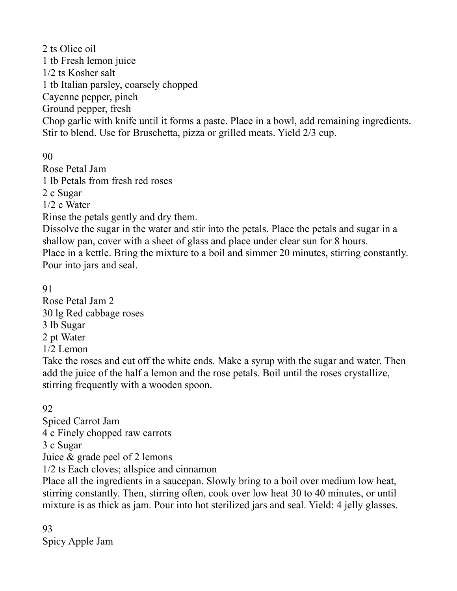2 ts Olice oil 1 tb Fresh lemon juice 1/2 ts Kosher salt 1 tb Italian parsley, coarsely chopped Cayenne pepper, pinch Ground pepper, fresh Chop garlic with knife until it forms a paste. Place in a bowl, add remaining ingredients. Stir to blend. Use for Bruschetta, pizza or grilled meats. Yield 2/3 cup.

90

Rose Petal Jam 1 lb Petals from fresh red roses 2 c Sugar 1/2 c Water Rinse the petals gently and dry them.

Dissolve the sugar in the water and stir into the petals. Place the petals and sugar in a shallow pan, cover with a sheet of glass and place under clear sun for 8 hours. Place in a kettle. Bring the mixture to a boil and simmer 20 minutes, stirring constantly. Pour into jars and seal.

91

Rose Petal Jam 2 30 lg Red cabbage roses 3 lb Sugar 2 pt Water 1/2 Lemon

Take the roses and cut off the white ends. Make a syrup with the sugar and water. Then add the juice of the half a lemon and the rose petals. Boil until the roses crystallize, stirring frequently with a wooden spoon.

# 92

Spiced Carrot Jam 4 c Finely chopped raw carrots 3 c Sugar Juice & grade peel of 2 lemons 1/2 ts Each cloves; allspice and cinnamon

Place all the ingredients in a saucepan. Slowly bring to a boil over medium low heat, stirring constantly. Then, stirring often, cook over low heat 30 to 40 minutes, or until mixture is as thick as jam. Pour into hot sterilized jars and seal. Yield: 4 jelly glasses.

93 Spicy Apple Jam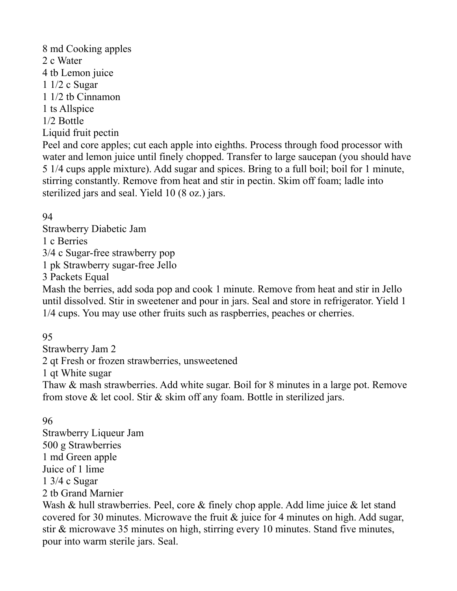8 md Cooking apples 2 c Water 4 tb Lemon juice 1 1/2 c Sugar 1 1/2 tb Cinnamon 1 ts Allspice 1/2 Bottle Liquid fruit pectin

Peel and core apples; cut each apple into eighths. Process through food processor with water and lemon juice until finely chopped. Transfer to large saucepan (you should have 5 1/4 cups apple mixture). Add sugar and spices. Bring to a full boil; boil for 1 minute, stirring constantly. Remove from heat and stir in pectin. Skim off foam; ladle into sterilized jars and seal. Yield 10 (8 oz.) jars.

94

Strawberry Diabetic Jam 1 c Berries 3/4 c Sugar-free strawberry pop 1 pk Strawberry sugar-free Jello

3 Packets Equal

Mash the berries, add soda pop and cook 1 minute. Remove from heat and stir in Jello until dissolved. Stir in sweetener and pour in jars. Seal and store in refrigerator. Yield 1 1/4 cups. You may use other fruits such as raspberries, peaches or cherries.

95

Strawberry Jam 2 2 qt Fresh or frozen strawberries, unsweetened 1 qt White sugar Thaw & mash strawberries. Add white sugar. Boil for 8 minutes in a large pot. Remove from stove & let cool. Stir & skim off any foam. Bottle in sterilized jars.

96

Strawberry Liqueur Jam 500 g Strawberries 1 md Green apple Juice of 1 lime 1 3/4 c Sugar 2 tb Grand Marnier Wash & hull strawberries. Peel, core & finely chop apple. Add lime juice & let stand covered for 30 minutes. Microwave the fruit & juice for 4 minutes on high. Add sugar, stir & microwave 35 minutes on high, stirring every 10 minutes. Stand five minutes, pour into warm sterile jars. Seal.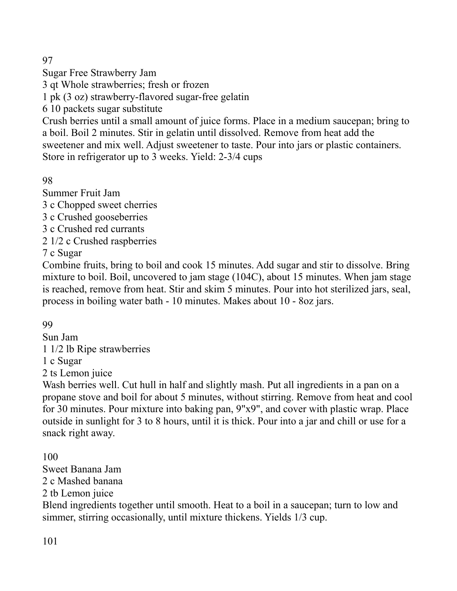97

Sugar Free Strawberry Jam

3 qt Whole strawberries; fresh or frozen

1 pk (3 oz) strawberry-flavored sugar-free gelatin

6 10 packets sugar substitute

Crush berries until a small amount of juice forms. Place in a medium saucepan; bring to a boil. Boil 2 minutes. Stir in gelatin until dissolved. Remove from heat add the sweetener and mix well. Adjust sweetener to taste. Pour into jars or plastic containers. Store in refrigerator up to 3 weeks. Yield: 2-3/4 cups

98

Summer Fruit Jam

3 c Chopped sweet cherries

3 c Crushed gooseberries

3 c Crushed red currants

2 1/2 c Crushed raspberries

7 c Sugar

Combine fruits, bring to boil and cook 15 minutes. Add sugar and stir to dissolve. Bring mixture to boil. Boil, uncovered to jam stage (104C), about 15 minutes. When jam stage is reached, remove from heat. Stir and skim 5 minutes. Pour into hot sterilized jars, seal, process in boiling water bath - 10 minutes. Makes about 10 - 8oz jars.

99

Sun Jam

1 1/2 lb Ripe strawberries

1 c Sugar

2 ts Lemon juice

Wash berries well. Cut hull in half and slightly mash. Put all ingredients in a pan on a propane stove and boil for about 5 minutes, without stirring. Remove from heat and cool for 30 minutes. Pour mixture into baking pan, 9"x9", and cover with plastic wrap. Place outside in sunlight for 3 to 8 hours, until it is thick. Pour into a jar and chill or use for a snack right away.

100

Sweet Banana Jam 2 c Mashed banana

2 tb Lemon juice

Blend ingredients together until smooth. Heat to a boil in a saucepan; turn to low and simmer, stirring occasionally, until mixture thickens. Yields 1/3 cup.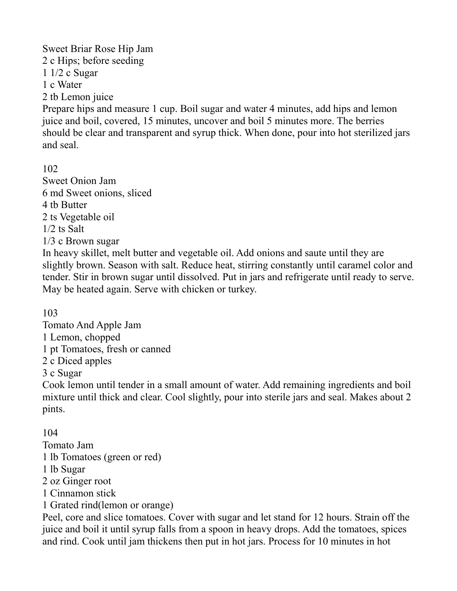Sweet Briar Rose Hip Jam 2 c Hips; before seeding 1 1/2 c Sugar 1 c Water 2 tb Lemon juice Prepare hips and measure 1 cup. Boil sugar and water 4 minutes, add hips and lemon juice and boil, covered, 15 minutes, uncover and boil 5 minutes more. The berries should be clear and transparent and syrup thick. When done, pour into hot sterilized jars and seal.

102 Sweet Onion Jam 6 md Sweet onions, sliced 4 tb Butter 2 ts Vegetable oil 1/2 ts Salt 1/3 c Brown sugar

In heavy skillet, melt butter and vegetable oil. Add onions and saute until they are slightly brown. Season with salt. Reduce heat, stirring constantly until caramel color and tender. Stir in brown sugar until dissolved. Put in jars and refrigerate until ready to serve. May be heated again. Serve with chicken or turkey.

103

Tomato And Apple Jam 1 Lemon, chopped 1 pt Tomatoes, fresh or canned 2 c Diced apples 3 c Sugar

Cook lemon until tender in a small amount of water. Add remaining ingredients and boil mixture until thick and clear. Cool slightly, pour into sterile jars and seal. Makes about 2 pints.

104

Tomato Jam

- 1 lb Tomatoes (green or red)
- 1 lb Sugar
- 2 oz Ginger root
- 1 Cinnamon stick
- 1 Grated rind(lemon or orange)

Peel, core and slice tomatoes. Cover with sugar and let stand for 12 hours. Strain off the juice and boil it until syrup falls from a spoon in heavy drops. Add the tomatoes, spices and rind. Cook until jam thickens then put in hot jars. Process for 10 minutes in hot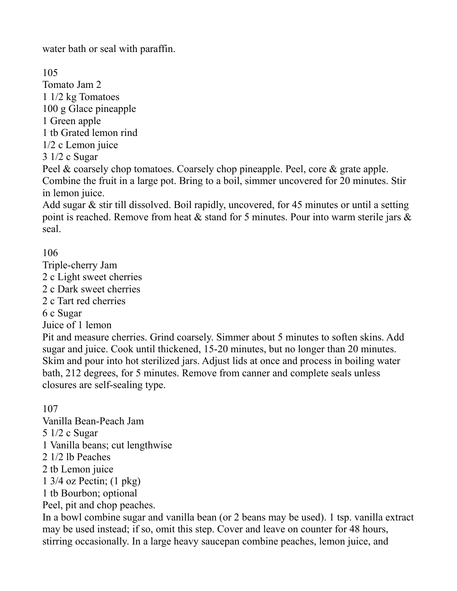water bath or seal with paraffin.

105 Tomato Jam 2 1 1/2 kg Tomatoes 100 g Glace pineapple 1 Green apple 1 tb Grated lemon rind 1/2 c Lemon juice 3 1/2 c Sugar Peel & coarsely chop tomatoes. Coarsely chop pineapple. Peel, core & grate apple. Combine the fruit in a large pot. Bring to a boil, simmer uncovered for 20 minutes. Stir

in lemon juice. Add sugar & stir till dissolved. Boil rapidly, uncovered, for 45 minutes or until a setting point is reached. Remove from heat  $\&$  stand for 5 minutes. Pour into warm sterile jars  $\&$ seal.

106

Triple-cherry Jam 2 c Light sweet cherries 2 c Dark sweet cherries 2 c Tart red cherries 6 c Sugar Juice of 1 lemon Pit and measure cherries. Grind coarsely. Simmer about 5 minutes to soften skins. Add

sugar and juice. Cook until thickened, 15-20 minutes, but no longer than 20 minutes. Skim and pour into hot sterilized jars. Adjust lids at once and process in boiling water bath, 212 degrees, for 5 minutes. Remove from canner and complete seals unless closures are self-sealing type.

107

Vanilla Bean-Peach Jam 5 1/2 c Sugar 1 Vanilla beans; cut lengthwise 2 1/2 lb Peaches 2 tb Lemon juice 1 3/4 oz Pectin; (1 pkg) 1 tb Bourbon; optional Peel, pit and chop peaches. In a bowl combine sugar and vanilla bean (or 2 beans may be used). 1 tsp. vanilla extract

may be used instead; if so, omit this step. Cover and leave on counter for 48 hours, stirring occasionally. In a large heavy saucepan combine peaches, lemon juice, and